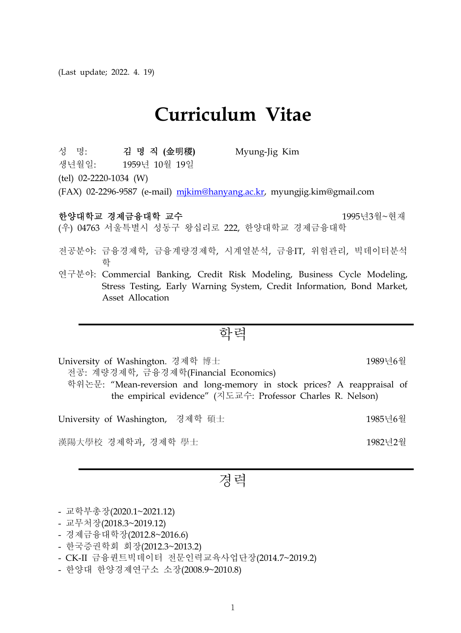(Last update; 2022. 4. 19)

# **Curriculum Vitae**

성 명: 김 명 직 **(**金明稷**)** Myung-Jig Kim

생년월일: 1959년 10월 19일

(tel) 02-2220-1034 (W)

(FAX) 02-2296-9587 (e-mail) [mjkim@hanyang.ac.kr](mailto:mjkim@hanyang.ac.kr), myungjig.kim@gmail.com

#### 한양대학교 경제금융대학 교수 1995년3월~현재

(우) 04763 서울특별시 성동구 왕십리로 222, 한양대학교 경제금융대학

- 전공분야: 금융경제학, 금융계량경제학, 시계열분석, 금융IT, 위험관리, 빅데이터분석 학
- 연구분야: Commercial Banking, Credit Risk Modeling, Business Cycle Modeling, Stress Testing, Early Warning System, Credit Information, Bond Market, Asset Allocation

학력

University of Washington. 경제학 博士 1989년6월 전공: 계량경제학, 금융경제학(Financial Economics) 학위논문: "Mean-reversion and long-memory in stock prices? A reappraisal of the empirical evidence" (지도교수: Professor Charles R. Nelson)

경력

University of Washington, 경제학 碩士 1985년6월

漢陽大學校 경제학과, 경제학 學士 1982년 1982년 1982년 1982년 1982년 1982년 1982년 1982년 1982년 1982년 19

- 
- 교학부총장(2020.1~2021.12) 교무처장(2018.3~2019.12)
- 경제금융대학장(2012.8~2016.6)
- 한국증권학회 회장(2012.3~2013.2)
- CK-II 금융퀀트빅데이터 전문인력교육사업단장(2014.7~2019.2)
- 한양대 한양경제연구소 소장(2008.9~2010.8)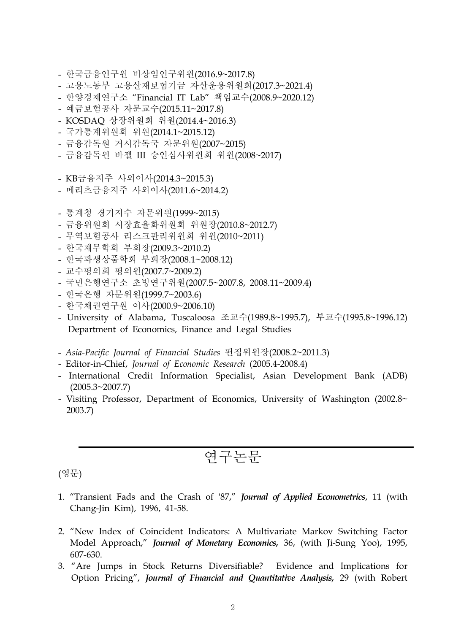- 한국금융연구원 비상임연구위원(2016.9~2017.8)
- 고용노동부 고용산재보험기금 자산운용위원회(2017.3~2021.4)
- 한양경제연구소 "Financial IT Lab" 책임교수(2008.9~2020.12)
- 예금보험공사 자문교수(2015.11~2017.8)
- KOSDAQ 상장위원회 위원(2014.4~2016.3)
- 국가통계위원회 위원(2014.1~2015.12)
- 금융감독원 거시감독국 자문위원(2007~2015)
- 금융감독원 바젤 III 승인심사위원회 위원(2008~2017)
- KB금융지주 사외이사(2014.3~2015.3)
- 메리츠금융지주 사외이사(2011.6~2014.2)
- 통계청 경기지수 자문위원(1999~2015)
- 금융위원회 시장효율화위원회 위원장(2010.8~2012.7)
- 무역보험공사 리스크관리위원회 위원(2010~2011)
- 한국재무학회 부회장(2009.3~2010.2)
- 한국파생상품학회 부회장(2008.1~2008.12)<br>- 교수평의회 평의원(2007.7~2009.2)
- 
- 국민은행연구소 초빙연구위원(2007.5~2007.8, 2008.11~2009.4)
- 한국은행 자문위원(1999.7~2003.6)
- 한국채권연구원 이사(2000.9~2006.10)
- University of Alabama, Tuscaloosa 조교수(1989.8~1995.7), 부교수(1995.8~1996.12) Department of Economics, Finance and Legal Studies
- *Asia-Pacific Journal of Financial Studies* 편집위원장(2008.2~2011.3)
- Editor-in-Chief, *Journal of Economic Research* (2005.4-2008.4)
- International Credit Information Specialist, Asian Development Bank (ADB) (2005.3~2007.7)
- Visiting Professor, Department of Economics, University of Washington (2002.8~ 2003.7)

연구논문

(영문)

- 1. "Transient Fads and the Crash of '87," *Journal of Applied Econometrics*, 11 (with Chang-Jin Kim), 1996, 41-58.
- 2. "New Index of Coincident Indicators: A Multivariate Markov Switching Factor Model Approach," *Journal of Monetary Economics,* 36, (with Ji-Sung Yoo), 1995, 607-630.
- 3. "Are Jumps in Stock Returns Diversifiable? Evidence and Implications for Option Pricing", *Journal of Financial and Quantitative Analysis,* 29 (with Robert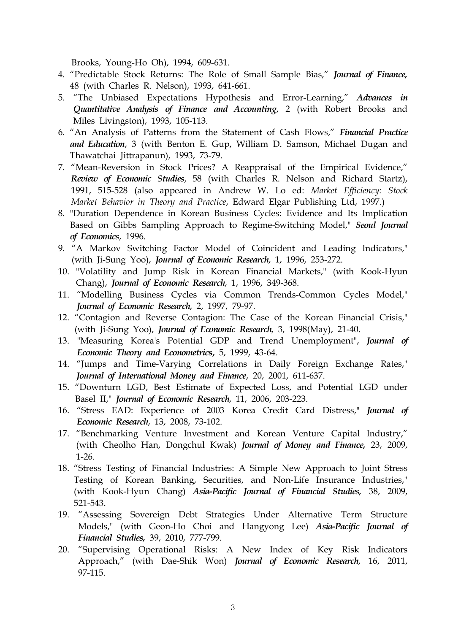Brooks, Young-Ho Oh), 1994, 609-631.

- 4. "Predictable Stock Returns: The Role of Small Sample Bias," *Journal of Finance,* 48 (with Charles R. Nelson), 1993, 641-661.
- 5. "The Unbiased Expectations Hypothesis and Error-Learning," *Advances in Quantitative Analysis of Finance and Accounting*, 2 (with Robert Brooks and Miles Livingston), 1993, 105-113.
- 6. "An Analysis of Patterns from the Statement of Cash Flows," *Financial Practice and Education*, 3 (with Benton E. Gup, William D. Samson, Michael Dugan and Thawatchai Jittrapanun), 1993, 73-79.
- 7. "Mean-Reversion in Stock Prices? A Reappraisal of the Empirical Evidence," *Review of Economic Studies*, 58 (with Charles R. Nelson and Richard Startz), 1991, 515-528 (also appeared in Andrew W. Lo ed: *Market Efficiency: Stock Market Behavior in Theory and Practice*, Edward Elgar Publishing Ltd, 1997.)
- 8. "Duration Dependence in Korean Business Cycles: Evidence and Its Implication Based on Gibbs Sampling Approach to Regime-Switching Model," *Seoul Journal of Economics*, 1996.
- 9. "A Markov Switching Factor Model of Coincident and Leading Indicators," (with Ji-Sung Yoo), *Journal of Economic Research*, 1, 1996, 253-272.
- 10. "Volatility and Jump Risk in Korean Financial Markets," (with Kook-Hyun Chang), *Journal of Economic Research*, 1, 1996, 349-368.
- 11. "Modelling Business Cycles via Common Trends-Common Cycles Model," *Journal of Economic Research*, 2, 1997, 79-97.
- 12. "Contagion and Reverse Contagion: The Case of the Korean Financial Crisis," (with Ji-Sung Yoo), *Journal of Economic Research*, 3, 1998(May), 21-40.
- 13. "Measuring Korea's Potential GDP and Trend Unemployment", *Journal of Economic Theory and Econometric***s,** 5, 1999, 43-64.
- 14. "Jumps and Time-Varying Correlations in Daily Foreign Exchange Rates," *Journal of International Money and Finance*, 20, 2001, 611-637.
- 15. "Downturn LGD, Best Estimate of Expected Loss, and Potential LGD under Basel II," *Journal of Economic Research*, 11, 2006, 203-223.
- 16. "Stress EAD: Experience of 2003 Korea Credit Card Distress," *Journal of Economic Research*, 13, 2008, 73-102.
- 17. "Benchmarking Venture Investment and Korean Venture Capital Industry," (with Cheolho Han, Dongchul Kwak) *Journal of Money and Finance,* 23, 2009,  $1-26.$
- 18. "Stress Testing of Financial Industries: A Simple New Approach to Joint Stress Testing of Korean Banking, Securities, and Non-Life Insurance Industries," (with Kook-Hyun Chang) *Asia-Pacific Journal of Financial Studies,* 38, 2009, 521-543.
- 19. "Assessing Sovereign Debt Strategies Under Alternative Term Structure Models," (with Geon-Ho Choi and Hangyong Lee) *Asia-Pacific Journal of Financial Studies,* 39, 2010, 777-799.
- 20. "Supervising Operational Risks: A New Index of Key Risk Indicators Approach," (with Dae-Shik Won) *Journal of Economic Research*, 16, 2011, 97-115.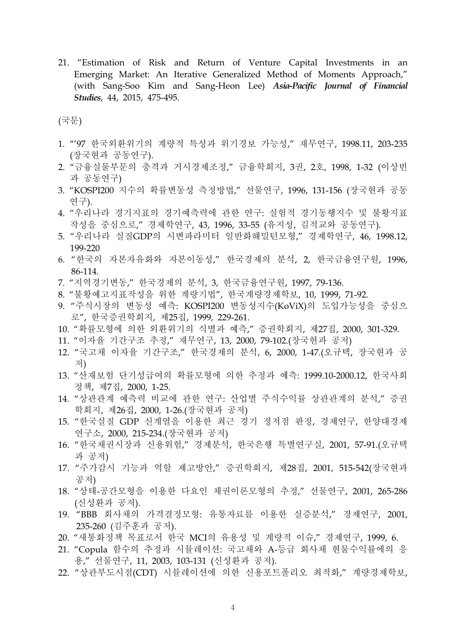21. "Estimation of Risk and Return of Venture Capital Investments in an Emerging Market: An Iterative Generalized Method of Moments Approach," (with Sang-Soo Kim and Sang-Heon Lee) *Asia-Pacific Journal of Financial Studies*, 44, 2015, 475-495.

(국문)

- 1. "'97 한국외환위기의 계량적 특성과 위기경보 가능성," 재무연구, 1998.11, 203-235 (장국현과 공동연구).
- 2. "금융실물부문의 충격과 거시경제조정," 금융학회지, 3권, 2호, 1998, 1-32 (이상빈 과 공동연구)
- 3. "KOSPI200 지수의 확률변동성 측정방법," 선물연구, 1996, 131-156 (장국현과 공동 연구).
- 4. "우리나라 경기지표의 경기예측력에 관한 연구: 실험적 경기동행지수 및 불황지표 작성을 중심으로," 경제학연구, 43, 1996, 33-55 (유지성, 김적교와 공동연구).
- 5. "우리나라 실질GDP의 시변파라미터 일반화해밀턴모형," 경제학연구, 46, 1998.12, 199-220
- 6. "한국의 자본자유화와 자본이동성," 한국경제의 분석, 2, 한국금융연구원, 1996, 86-114.
- 7. "지역경기변동," 한국경제의 분석, 3, 한국금융연구원, 1997, 79-136.
- 8. "불황예고지표작성을 위한 계량기법", 한국계량경제학보, 10, 1999, 71-92.
- 9. "주식시장의 변동성 예측: KOSPI200 변동성지수(KoViX)의 도입가능성을 중심으 로", 한국증권학회지, 제25집, 1999, 229-261.
- 10. "확률모형에 의한 외환위기의 식별과 예측," 증권학회지, 제27집, 2000, 301-329.
- 11. "이자율 기간구조 추정," 재무연구, 13, 2000, 79-102.(장국현과 공저)
- 12. "국고채 이자율 기간구조," 한국경제의 분석, 6, 2000, 1-47.(오규택, 장국현과 공 저)
- 13. "산재보험 단기성급여의 확률모형에 의한 추정과 예측: 1999.10-2000.12, 한국사회 정책, 제7집, 2000, 1-25.
- 14. "상관관계 예측력 비교에 관한 연구: 산업별 주식수익률 상관관계의 분석," 증권 학회지, 제26집, 2000, 1-26.(장국현과 공저)
- 15. "한국실질 GDP 신계열을 이용한 최근 경기 정저점 판정, 경제연구, 한양대경제 연구소, 2000, 215-234.(장국현과 공저)
- 16. "한국채권시장과 신용위험," 경제분석, 한국은행 특별연구실, 2001, 57-91.(오규택 과 공저)
- 17. "주가감시 기능과 역할 제고방안," 증권학회지, 제28집, 2001, 515-542(장국현과 공저)
- 18. "상태-공간모형을 이용한 다요인 채권이론모형의 추정," 선물연구, 2001, 265-286 (신성환과 공저).
- 19. "BBB 회사채의 가격결정모형: 유통자료를 이용한 실증분석," 경제연구, 2001, 235-260 (김주훈과 공저).
- 20. "새통화정책 목표로서 한국 MCI의 유용성 및 계량적 이슈," 경제연구, 1999, 6.
- 21. "Copula 함수의 추정과 시뮬레이션: 국고채와 A-등급 회사채 현물수익률에의 응 용," 선물연구, 11, 2003, 103-131 (신성환과 공저).
- 22. "상관부도시점(CDT) 시뮬레이션에 의한 신용포트폴리오 최적화," 계량경제학보,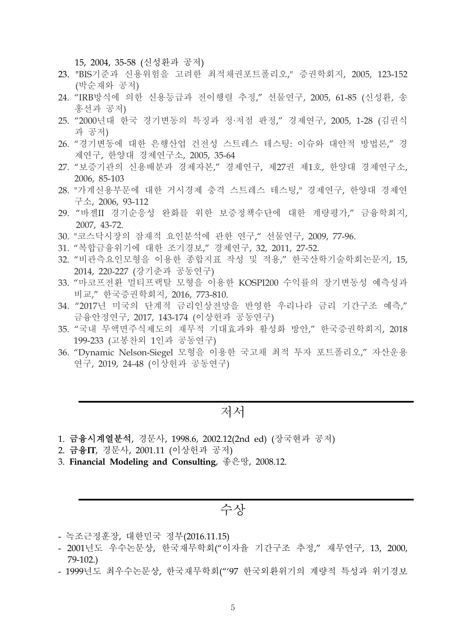15, 2004, 35-58 (신성환과 공저)

- 23. "BIS기준과 신용위험을 고려한 최적채권포트폴리오," 증권학회지, 2005, 123-152 (박순재와 공저)
- 24. "IRB방식에 의한 신용등급과 전이행렬 추정," 선물연구, 2005, 61-85 (신성환, 송 홍선과 공저)
- 25. "2000년대 한국 경기변동의 특징과 정∙저점 판정," 경제연구, 2005, 1-28 (김권식 과 공저)
- 26. "경기변동에 대한 은행산업 건전성 스트레스 테스팅: 이슈와 대안적 방법론," 경 제연구, 한양대 경제연구소, 2005, 35-64
- 27. "보증기관의 신용배분과 경제자본," 경제연구, 제27권 제1호, 한양대 경제연구소, 2006, 85-103
- 28. "가계신용부문에 대한 거시경제 충격 스트레스 테스팅," 경제연구, 한양대 경제연 구소, 2006, 93-112
- 29. "바젤II 경기순응성 완화를 위한 보증정책수단에 대한 계량평가," 금융학회지, 2007, 43-72.
- 30. "코스닥시장의 잠재적 요인분석에 관한 연구," 선물연구, 2009, 77-96.
- 31. "복합금융위기에 대한 조기경보," 경제연구, 32, 2011, 27-52.
- 32. "비관측요인모형을 이용한 종합지표 작성 및 적용," 한국산학기술학회논문지, 15, 2014, 220-227 (강기춘과 공동연구)
- 33. "마코프전환 멀티프랙탈 모형을 이용한 KOSPI200 수익률의 장기변동성 예측성과 비교," 한국증권학회지, 2016, 773-810.
- 34. "2017년 미국의 단계적 금리인상전망을 반영한 우리나라 금리 기간구조 예측," 금융안정연구, 2017, 143-174 (이상헌과 공동연구)
- 35. "국내 무액면주식제도의 재무적 기대효과와 활성화 방안," 한국증권학회지, 2018 199-233 (고봉찬외 1인과 공동연구)
- 36. "Dynamic Nelson-Siegel 모형을 이용한 국고채 최적 투자 포트폴리오," 자산운용 연구, 2019, 24-48 (이상헌과 공동연구)

## 저서

- 1. 금융시계열분석, 경문사, 1998.6, 2002.12(2nd ed) (장국현과 공저)
- 2. 금융**IT**, 경문사, 2001.11 (이상헌과 공저)
- 3. **Financial Modeling and Consulting**, 좋은땅, 2008.12.

## 수상

- 녹조근정훈장, 대한민국 정부(2016.11.15)
- 2001년도 우수논문상, 한국재무학회("이자율 기간구조 추정," 재무연구, 13, 2000, 79-102.)
- 1999년도 최우수논문상, 한국재무학회("'97 한국외환위기의 계량적 특성과 위기경보